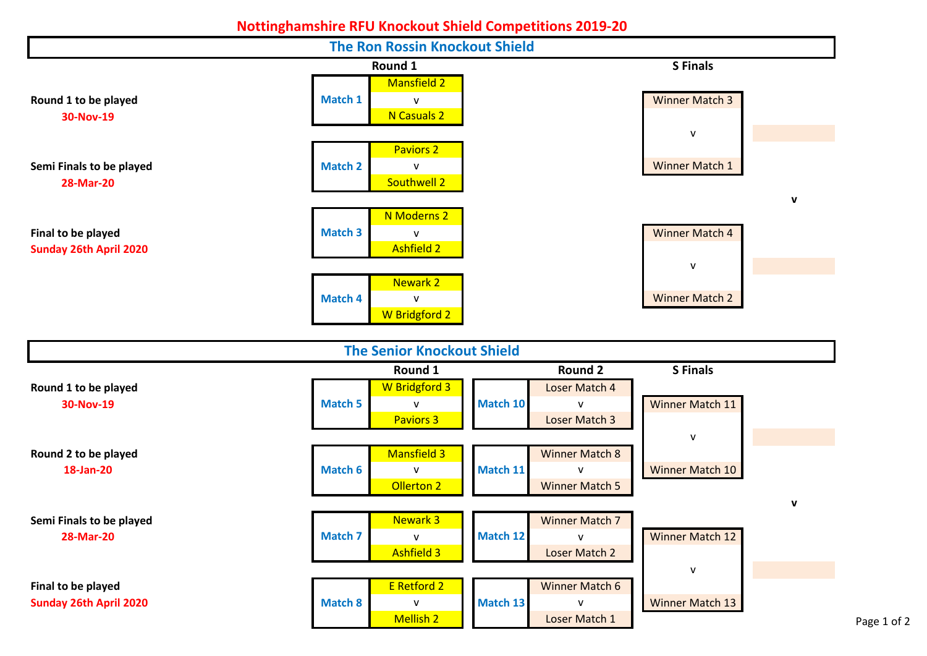## **Nottinghamshire RFU Knockout Shield Competitions 2019-20**